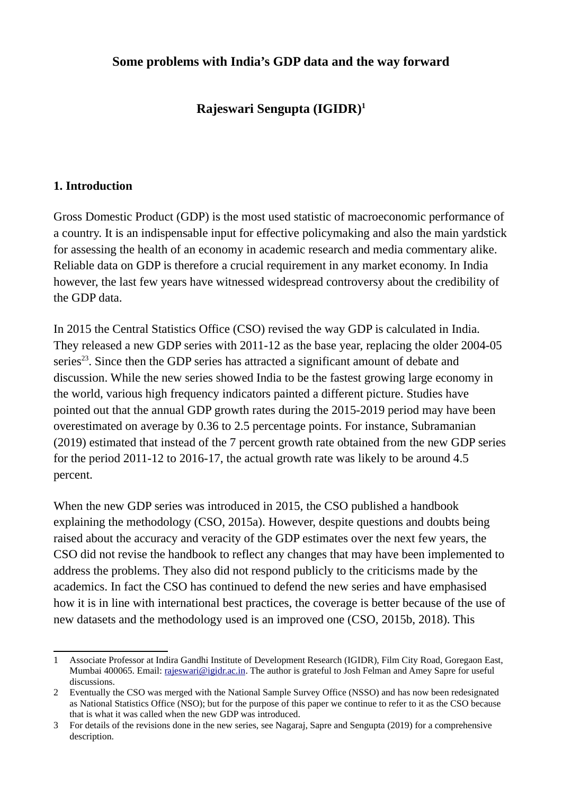# **Some problems with India's GDP data and the way forward**

# **Rajeswari Sengupta (IGIDR) [1](#page-0-0)**

#### **1. Introduction**

Gross Domestic Product (GDP) is the most used statistic of macroeconomic performance of a country. It is an indispensable input for effective policymaking and also the main yardstick for assessing the health of an economy in academic research and media commentary alike. Reliable data on GDP is therefore a crucial requirement in any market economy. In India however, the last few years have witnessed widespread controversy about the credibility of the GDP data.

In 2015 the Central Statistics Office (CSO) revised the way GDP is calculated in India. They released a new GDP series with 2011-12 as the base year, replacing the older 2004-05 series<sup>[2](#page-0-1)[3](#page-0-2)</sup>. Since then the GDP series has attracted a significant amount of debate and discussion. While the new series showed India to be the fastest growing large economy in the world, various high frequency indicators painted a different picture. Studies have pointed out that the annual GDP growth rates during the 2015-2019 period may have been overestimated on average by 0.36 to 2.5 percentage points. For instance, Subramanian (2019) estimated that instead of the 7 percent growth rate obtained from the new GDP series for the period 2011-12 to 2016-17, the actual growth rate was likely to be around 4.5 percent.

When the new GDP series was introduced in 2015, the CSO published a handbook explaining the methodology (CSO, 2015a). However, despite questions and doubts being raised about the accuracy and veracity of the GDP estimates over the next few years, the CSO did not revise the handbook to reflect any changes that may have been implemented to address the problems. They also did not respond publicly to the criticisms made by the academics. In fact the CSO has continued to defend the new series and have emphasised how it is in line with international best practices, the coverage is better because of the use of new datasets and the methodology used is an improved one (CSO, 2015b, 2018). This

<span id="page-0-0"></span><sup>1</sup> Associate Professor at Indira Gandhi Institute of Development Research (IGIDR), Film City Road, Goregaon East, Mumbai 400065. Email: [rajeswari@igidr.ac.in](mailto:rajeswari@igidr.ac.in). The author is grateful to Josh Felman and Amey Sapre for useful discussions.

<span id="page-0-1"></span><sup>2</sup> Eventually the CSO was merged with the National Sample Survey Office (NSSO) and has now been redesignated as National Statistics Office (NSO); but for the purpose of this paper we continue to refer to it as the CSO because that is what it was called when the new GDP was introduced.

<span id="page-0-2"></span><sup>3</sup> For details of the revisions done in the new series, see Nagaraj, Sapre and Sengupta (2019) for a comprehensive description.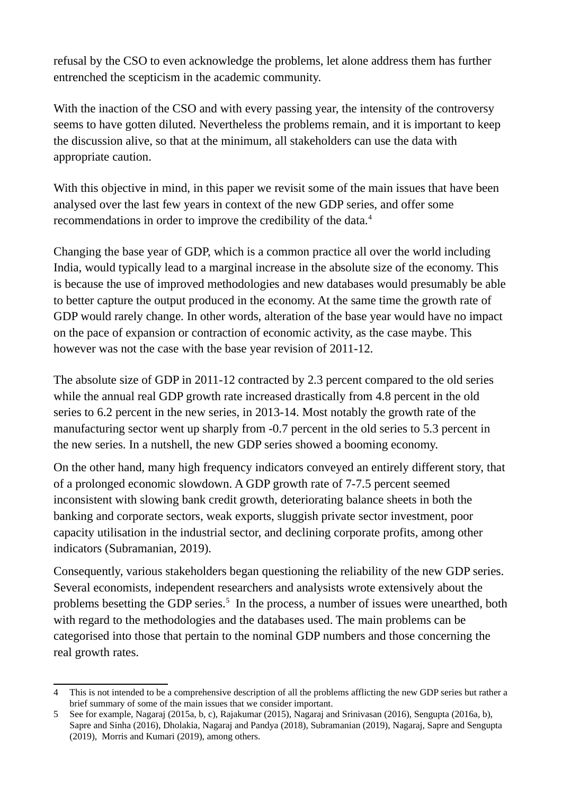refusal by the CSO to even acknowledge the problems, let alone address them has further entrenched the scepticism in the academic community.

With the inaction of the CSO and with every passing year, the intensity of the controversy seems to have gotten diluted. Nevertheless the problems remain, and it is important to keep the discussion alive, so that at the minimum, all stakeholders can use the data with appropriate caution.

With this objective in mind, in this paper we revisit some of the main issues that have been analysed over the last few years in context of the new GDP series, and offer some recommendations in order to improve the credibility of the data.<sup>[4](#page-1-0)</sup>

Changing the base year of GDP, which is a common practice all over the world including India, would typically lead to a marginal increase in the absolute size of the economy. This is because the use of improved methodologies and new databases would presumably be able to better capture the output produced in the economy. At the same time the growth rate of GDP would rarely change. In other words, alteration of the base year would have no impact on the pace of expansion or contraction of economic activity, as the case maybe. This however was not the case with the base year revision of 2011-12.

The absolute size of GDP in 2011-12 contracted by 2.3 percent compared to the old series while the annual real GDP growth rate increased drastically from 4.8 percent in the old series to 6.2 percent in the new series, in 2013-14. Most notably the growth rate of the manufacturing sector went up sharply from -0.7 percent in the old series to 5.3 percent in the new series. In a nutshell, the new GDP series showed a booming economy.

On the other hand, many high frequency indicators conveyed an entirely different story, that of a prolonged economic slowdown. A GDP growth rate of 7-7.5 percent seemed inconsistent with slowing bank credit growth, deteriorating balance sheets in both the banking and corporate sectors, weak exports, sluggish private sector investment, poor capacity utilisation in the industrial sector, and declining corporate profits, among other indicators (Subramanian, 2019).

Consequently, various stakeholders began questioning the reliability of the new GDP series. Several economists, independent researchers and analysists wrote extensively about the problems besetting the GDP series.<sup>[5](#page-1-1)</sup> In the process, a number of issues were unearthed, both with regard to the methodologies and the databases used. The main problems can be categorised into those that pertain to the nominal GDP numbers and those concerning the real growth rates.

<span id="page-1-0"></span><sup>4</sup> This is not intended to be a comprehensive description of all the problems afflicting the new GDP series but rather a brief summary of some of the main issues that we consider important.

<span id="page-1-1"></span><sup>5</sup> See for example, Nagaraj (2015a, b, c), Rajakumar (2015), Nagaraj and Srinivasan (2016), Sengupta (2016a, b), Sapre and Sinha (2016), Dholakia, Nagaraj and Pandya (2018), Subramanian (2019), Nagaraj, Sapre and Sengupta (2019), Morris and Kumari (2019), among others.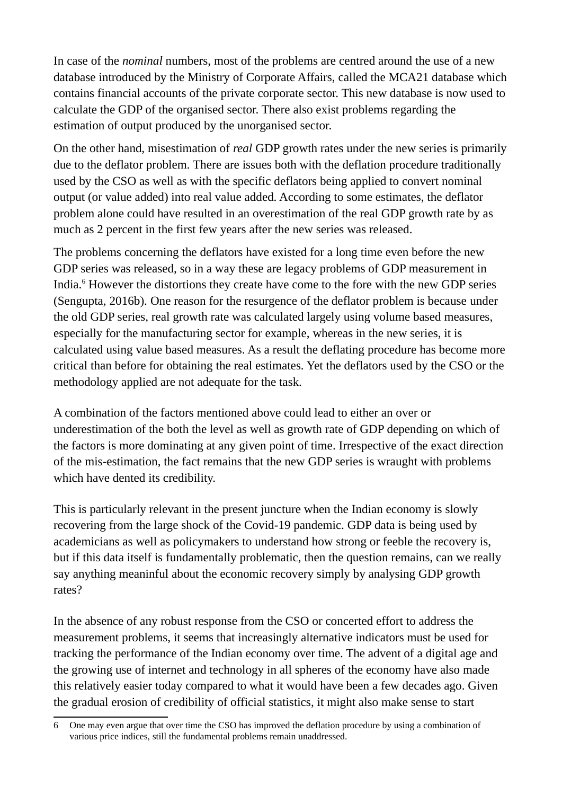In case of the *nominal* numbers, most of the problems are centred around the use of a new database introduced by the Ministry of Corporate Affairs, called the MCA21 database which contains financial accounts of the private corporate sector. This new database is now used to calculate the GDP of the organised sector. There also exist problems regarding the estimation of output produced by the unorganised sector.

On the other hand, misestimation of *real* GDP growth rates under the new series is primarily due to the deflator problem. There are issues both with the deflation procedure traditionally used by the CSO as well as with the specific deflators being applied to convert nominal output (or value added) into real value added. According to some estimates, the deflator problem alone could have resulted in an overestimation of the real GDP growth rate by as much as 2 percent in the first few years after the new series was released.

The problems concerning the deflators have existed for a long time even before the new GDP series was released, so in a way these are legacy problems of GDP measurement in India.<sup>[6](#page-2-0)</sup> However the distortions they create have come to the fore with the new GDP series (Sengupta, 2016b). One reason for the resurgence of the deflator problem is because under the old GDP series, real growth rate was calculated largely using volume based measures, especially for the manufacturing sector for example, whereas in the new series, it is calculated using value based measures. As a result the deflating procedure has become more critical than before for obtaining the real estimates. Yet the deflators used by the CSO or the methodology applied are not adequate for the task.

A combination of the factors mentioned above could lead to either an over or underestimation of the both the level as well as growth rate of GDP depending on which of the factors is more dominating at any given point of time. Irrespective of the exact direction of the mis-estimation, the fact remains that the new GDP series is wraught with problems which have dented its credibility.

This is particularly relevant in the present juncture when the Indian economy is slowly recovering from the large shock of the Covid-19 pandemic. GDP data is being used by academicians as well as policymakers to understand how strong or feeble the recovery is, but if this data itself is fundamentally problematic, then the question remains, can we really say anything meaninful about the economic recovery simply by analysing GDP growth rates?

In the absence of any robust response from the CSO or concerted effort to address the measurement problems, it seems that increasingly alternative indicators must be used for tracking the performance of the Indian economy over time. The advent of a digital age and the growing use of internet and technology in all spheres of the economy have also made this relatively easier today compared to what it would have been a few decades ago. Given the gradual erosion of credibility of official statistics, it might also make sense to start

<span id="page-2-0"></span><sup>6</sup> One may even argue that over time the CSO has improved the deflation procedure by using a combination of various price indices, still the fundamental problems remain unaddressed.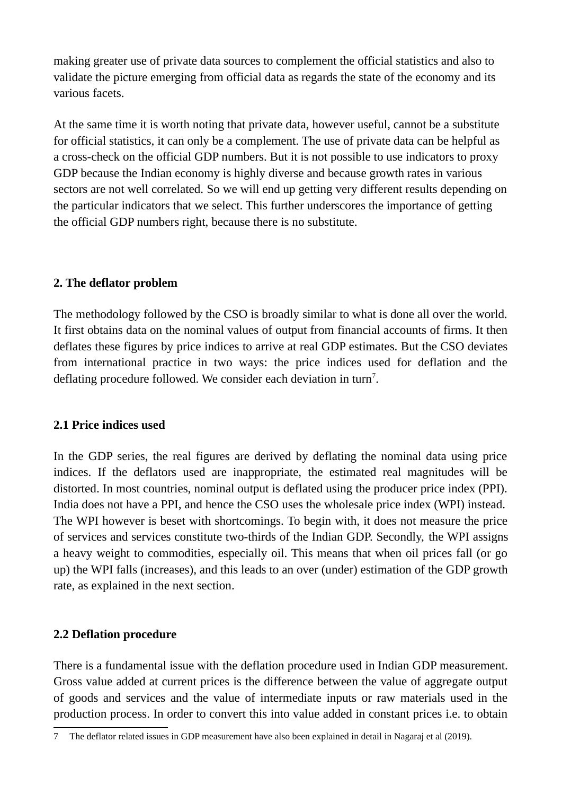making greater use of private data sources to complement the official statistics and also to validate the picture emerging from official data as regards the state of the economy and its various facets.

At the same time it is worth noting that private data, however useful, cannot be a substitute for official statistics, it can only be a complement. The use of private data can be helpful as a cross-check on the official GDP numbers. But it is not possible to use indicators to proxy GDP because the Indian economy is highly diverse and because growth rates in various sectors are not well correlated. So we will end up getting very different results depending on the particular indicators that we select. This further underscores the importance of getting the official GDP numbers right, because there is no substitute.

# **2. The deflator problem**

The methodology followed by the CSO is broadly similar to what is done all over the world. It first obtains data on the nominal values of output from financial accounts of firms. It then deflates these figures by price indices to arrive at real GDP estimates. But the CSO deviates from international practice in two ways: the price indices used for deflation and the deflating procedure followed. We consider each deviation in turn<sup>[7](#page-3-0)</sup>.

### **2.1 Price indices used**

In the GDP series, the real figures are derived by deflating the nominal data using price indices. If the deflators used are inappropriate, the estimated real magnitudes will be distorted. In most countries, nominal output is deflated using the producer price index (PPI). India does not have a PPI, and hence the CSO uses the wholesale price index (WPI) instead. The WPI however is beset with shortcomings. To begin with, it does not measure the price of services and services constitute two-thirds of the Indian GDP. Secondly, the WPI assigns a heavy weight to commodities, especially oil. This means that when oil prices fall (or go up) the WPI falls (increases), and this leads to an over (under) estimation of the GDP growth rate, as explained in the next section.

### **2.2 Deflation procedure**

There is a fundamental issue with the deflation procedure used in Indian GDP measurement. Gross value added at current prices is the difference between the value of aggregate output of goods and services and the value of intermediate inputs or raw materials used in the production process. In order to convert this into value added in constant prices i.e. to obtain

<span id="page-3-0"></span><sup>7</sup> The deflator related issues in GDP measurement have also been explained in detail in Nagaraj et al (2019).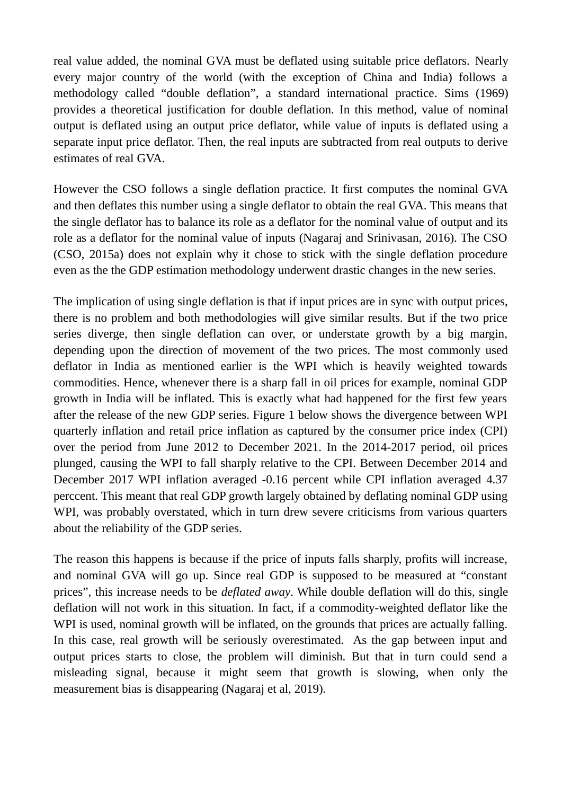real value added, the nominal GVA must be deflated using suitable price deflators. Nearly every major country of the world (with the exception of China and India) follows a methodology called "double deflation", a standard international practice. Sims (1969) provides a theoretical justification for double deflation. In this method, value of nominal output is deflated using an output price deflator, while value of inputs is deflated using a separate input price deflator. Then, the real inputs are subtracted from real outputs to derive estimates of real GVA.

However the CSO follows a single deflation practice. It first computes the nominal GVA and then deflates this number using a single deflator to obtain the real GVA. This means that the single deflator has to balance its role as a deflator for the nominal value of output and its role as a deflator for the nominal value of inputs (Nagaraj and Srinivasan, 2016). The CSO (CSO, 2015a) does not explain why it chose to stick with the single deflation procedure even as the the GDP estimation methodology underwent drastic changes in the new series.

The implication of using single deflation is that if input prices are in sync with output prices, there is no problem and both methodologies will give similar results. But if the two price series diverge, then single deflation can over, or understate growth by a big margin, depending upon the direction of movement of the two prices. The most commonly used deflator in India as mentioned earlier is the WPI which is heavily weighted towards commodities. Hence, whenever there is a sharp fall in oil prices for example, nominal GDP growth in India will be inflated. This is exactly what had happened for the first few years after the release of the new GDP series. Figure 1 below shows the divergence between WPI quarterly inflation and retail price inflation as captured by the consumer price index (CPI) over the period from June 2012 to December 2021. In the 2014-2017 period, oil prices plunged, causing the WPI to fall sharply relative to the CPI. Between December 2014 and December 2017 WPI inflation averaged -0.16 percent while CPI inflation averaged 4.37 perccent. This meant that real GDP growth largely obtained by deflating nominal GDP using WPI, was probably overstated, which in turn drew severe criticisms from various quarters about the reliability of the GDP series.

The reason this happens is because if the price of inputs falls sharply, profits will increase, and nominal GVA will go up. Since real GDP is supposed to be measured at "constant prices", this increase needs to be *deflated away*. While double deflation will do this, single deflation will not work in this situation. In fact, if a commodity-weighted deflator like the WPI is used, nominal growth will be inflated, on the grounds that prices are actually falling. In this case, real growth will be seriously overestimated. As the gap between input and output prices starts to close, the problem will diminish. But that in turn could send a misleading signal, because it might seem that growth is slowing, when only the measurement bias is disappearing (Nagaraj et al, 2019).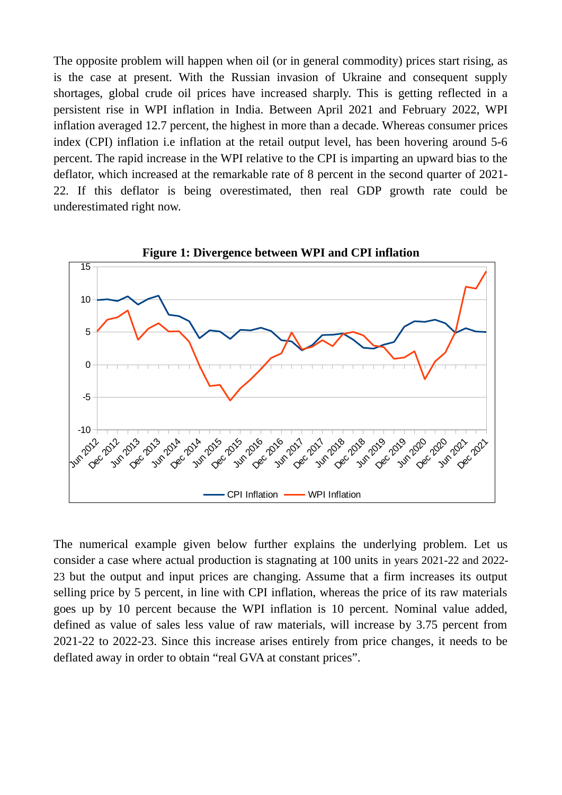The opposite problem will happen when oil (or in general commodity) prices start rising, as is the case at present. With the Russian invasion of Ukraine and consequent supply shortages, global crude oil prices have increased sharply. This is getting reflected in a persistent rise in WPI inflation in India. Between April 2021 and February 2022, WPI inflation averaged 12.7 percent, the highest in more than a decade. Whereas consumer prices index (CPI) inflation i.e inflation at the retail output level, has been hovering around 5-6 percent. The rapid increase in the WPI relative to the CPI is imparting an upward bias to the deflator, which increased at the remarkable rate of 8 percent in the second quarter of 2021- 22. If this deflator is being overestimated, then real GDP growth rate could be underestimated right now.



**Figure 1: Divergence between WPI and CPI inflation**

The numerical example given below further explains the underlying problem. Let us consider a case where actual production is stagnating at 100 units in years 2021-22 and 2022- 23 but the output and input prices are changing. Assume that a firm increases its output selling price by 5 percent, in line with CPI inflation, whereas the price of its raw materials goes up by 10 percent because the WPI inflation is 10 percent. Nominal value added, defined as value of sales less value of raw materials, will increase by 3.75 percent from 2021-22 to 2022-23. Since this increase arises entirely from price changes, it needs to be deflated away in order to obtain "real GVA at constant prices".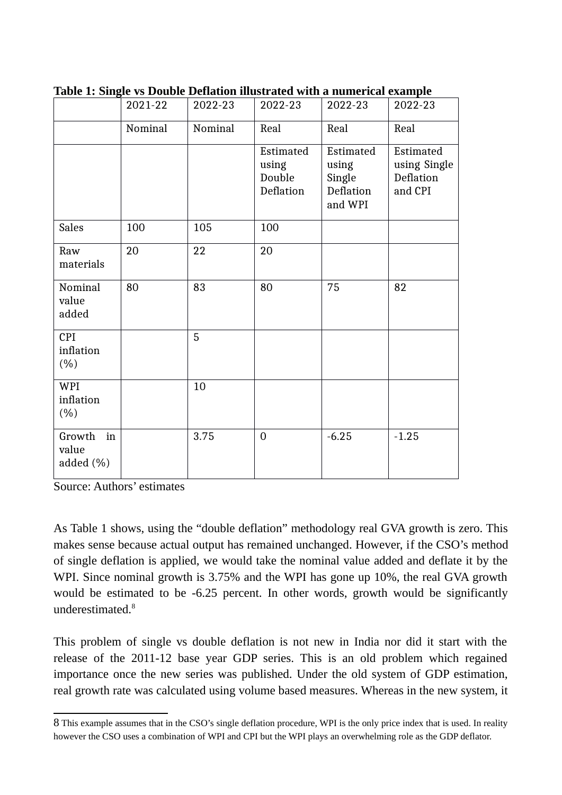| <sub>.</sub>                       | 2021-22 | 2022-23 | 2022-23                                   | 2022-23                                              | -- <del>---</del> --------<br>2022-23             |
|------------------------------------|---------|---------|-------------------------------------------|------------------------------------------------------|---------------------------------------------------|
|                                    | Nominal | Nominal | Real                                      | Real                                                 | Real                                              |
|                                    |         |         | Estimated<br>using<br>Double<br>Deflation | Estimated<br>using<br>Single<br>Deflation<br>and WPI | Estimated<br>using Single<br>Deflation<br>and CPI |
| <b>Sales</b>                       | 100     | 105     | 100                                       |                                                      |                                                   |
| Raw<br>materials                   | 20      | 22      | 20                                        |                                                      |                                                   |
| Nominal<br>value<br>added          | 80      | 83      | 80                                        | 75                                                   | 82                                                |
| <b>CPI</b><br>inflation<br>$(\% )$ |         | 5       |                                           |                                                      |                                                   |
| <b>WPI</b><br>inflation<br>$(\% )$ |         | 10      |                                           |                                                      |                                                   |
| Growth<br>in<br>value<br>added (%) |         | 3.75    | $\overline{0}$                            | $-6.25$                                              | $-1.25$                                           |

**Table 1: Single vs Double Deflation illustrated with a numerical example**

Source: Authors' estimates

As Table 1 shows, using the "double deflation" methodology real GVA growth is zero. This makes sense because actual output has remained unchanged. However, if the CSO's method of single deflation is applied, we would take the nominal value added and deflate it by the WPI. Since nominal growth is 3.75% and the WPI has gone up 10%, the real GVA growth would be estimated to be -6.25 percent. In other words, growth would be significantly underestimated. $8$ 

This problem of single vs double deflation is not new in India nor did it start with the release of the 2011-12 base year GDP series. This is an old problem which regained importance once the new series was published. Under the old system of GDP estimation, real growth rate was calculated using volume based measures. Whereas in the new system, it

<span id="page-6-0"></span><sup>8</sup> This example assumes that in the CSO's single deflation procedure, WPI is the only price index that is used. In reality however the CSO uses a combination of WPI and CPI but the WPI plays an overwhelming role as the GDP deflator.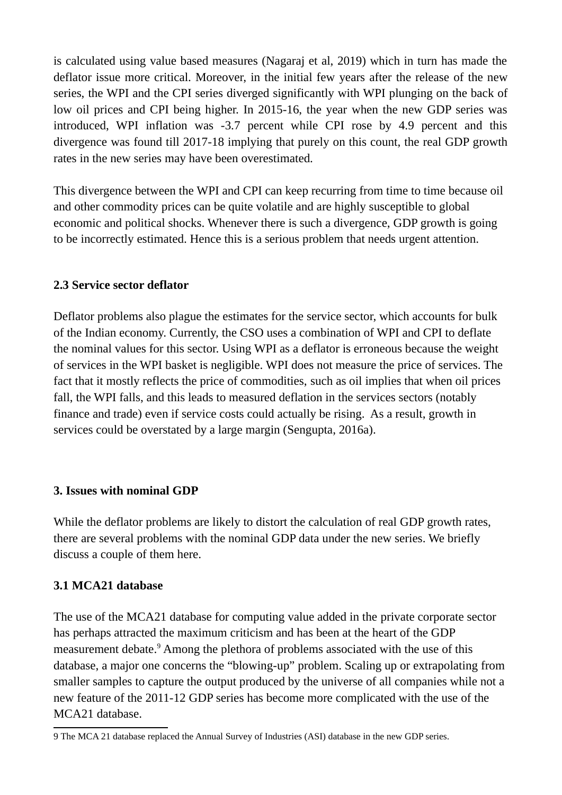is calculated using value based measures (Nagaraj et al, 2019) which in turn has made the deflator issue more critical. Moreover, in the initial few years after the release of the new series, the WPI and the CPI series diverged significantly with WPI plunging on the back of low oil prices and CPI being higher. In 2015-16, the year when the new GDP series was introduced, WPI inflation was -3.7 percent while CPI rose by 4.9 percent and this divergence was found till 2017-18 implying that purely on this count, the real GDP growth rates in the new series may have been overestimated.

This divergence between the WPI and CPI can keep recurring from time to time because oil and other commodity prices can be quite volatile and are highly susceptible to global economic and political shocks. Whenever there is such a divergence, GDP growth is going to be incorrectly estimated. Hence this is a serious problem that needs urgent attention.

# **2.3 Service sector deflator**

Deflator problems also plague the estimates for the service sector, which accounts for bulk of the Indian economy. Currently, the CSO uses a combination of WPI and CPI to deflate the nominal values for this sector. Using WPI as a deflator is erroneous because the weight of services in the WPI basket is negligible. WPI does not measure the price of services. The fact that it mostly reflects the price of commodities, such as oil implies that when oil prices fall, the WPI falls, and this leads to measured deflation in the services sectors (notably finance and trade) even if service costs could actually be rising. As a result, growth in services could be overstated by a large margin (Sengupta, 2016a).

# **3. Issues with nominal GDP**

While the deflator problems are likely to distort the calculation of real GDP growth rates, there are several problems with the nominal GDP data under the new series. We briefly discuss a couple of them here.

# **3.1 MCA21 database**

The use of the MCA21 database for computing value added in the private corporate sector has perhaps attracted the maximum criticism and has been at the heart of the GDP measurement debate.<sup>[9](#page-7-0)</sup> Among the plethora of problems associated with the use of this database, a major one concerns the "blowing-up" problem. Scaling up or extrapolating from smaller samples to capture the output produced by the universe of all companies while not a new feature of the 2011-12 GDP series has become more complicated with the use of the MCA21 database.

<span id="page-7-0"></span><sup>9</sup> The MCA 21 database replaced the Annual Survey of Industries (ASI) database in the new GDP series.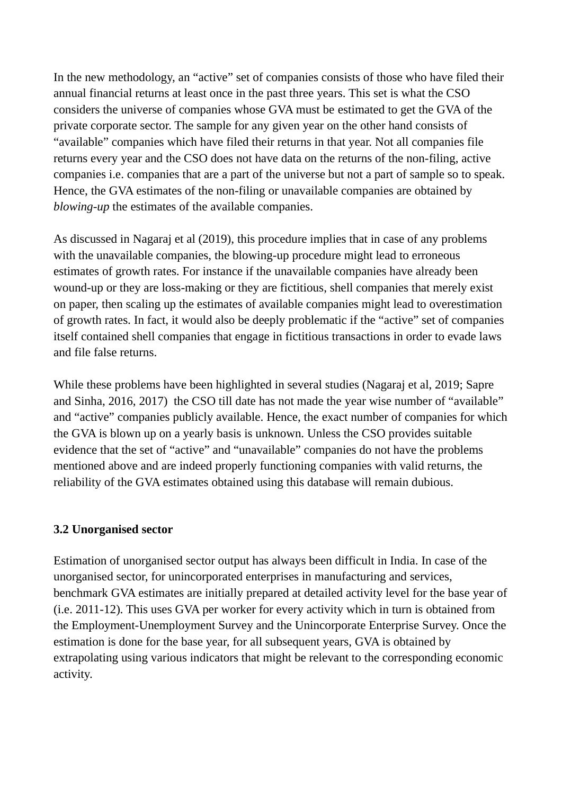In the new methodology, an "active" set of companies consists of those who have filed their annual financial returns at least once in the past three years. This set is what the CSO considers the universe of companies whose GVA must be estimated to get the GVA of the private corporate sector. The sample for any given year on the other hand consists of "available" companies which have filed their returns in that year. Not all companies file returns every year and the CSO does not have data on the returns of the non-filing, active companies i.e. companies that are a part of the universe but not a part of sample so to speak. Hence, the GVA estimates of the non-filing or unavailable companies are obtained by *blowing-up* the estimates of the available companies.

As discussed in Nagaraj et al (2019), this procedure implies that in case of any problems with the unavailable companies, the blowing-up procedure might lead to erroneous estimates of growth rates. For instance if the unavailable companies have already been wound-up or they are loss-making or they are fictitious, shell companies that merely exist on paper, then scaling up the estimates of available companies might lead to overestimation of growth rates. In fact, it would also be deeply problematic if the "active" set of companies itself contained shell companies that engage in fictitious transactions in order to evade laws and file false returns.

While these problems have been highlighted in several studies (Nagaraj et al, 2019; Sapre and Sinha, 2016, 2017) the CSO till date has not made the year wise number of "available" and "active" companies publicly available. Hence, the exact number of companies for which the GVA is blown up on a yearly basis is unknown. Unless the CSO provides suitable evidence that the set of "active" and "unavailable" companies do not have the problems mentioned above and are indeed properly functioning companies with valid returns, the reliability of the GVA estimates obtained using this database will remain dubious.

# **3.2 Unorganised sector**

Estimation of unorganised sector output has always been difficult in India. In case of the unorganised sector, for unincorporated enterprises in manufacturing and services, benchmark GVA estimates are initially prepared at detailed activity level for the base year of (i.e. 2011-12). This uses GVA per worker for every activity which in turn is obtained from the Employment-Unemployment Survey and the Unincorporate Enterprise Survey. Once the estimation is done for the base year, for all subsequent years, GVA is obtained by extrapolating using various indicators that might be relevant to the corresponding economic activity.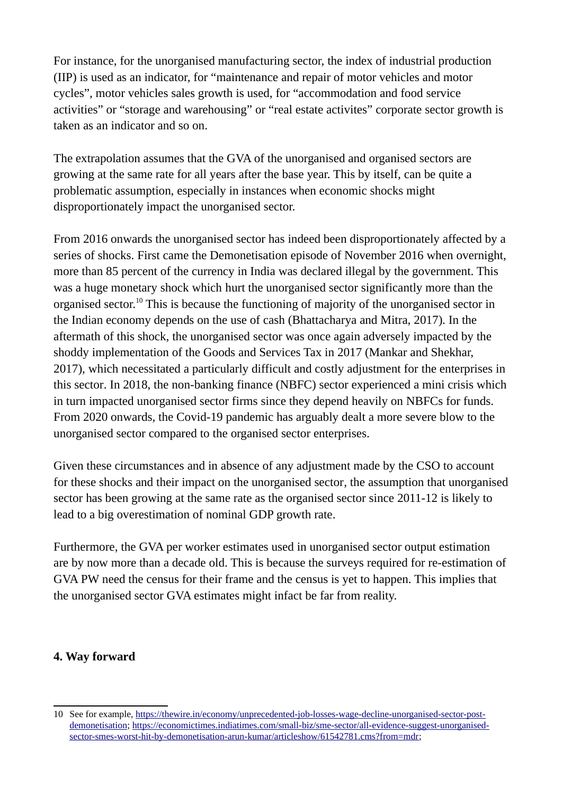For instance, for the unorganised manufacturing sector, the index of industrial production (IIP) is used as an indicator, for "maintenance and repair of motor vehicles and motor cycles", motor vehicles sales growth is used, for "accommodation and food service activities" or "storage and warehousing" or "real estate activites" corporate sector growth is taken as an indicator and so on.

The extrapolation assumes that the GVA of the unorganised and organised sectors are growing at the same rate for all years after the base year. This by itself, can be quite a problematic assumption, especially in instances when economic shocks might disproportionately impact the unorganised sector.

From 2016 onwards the unorganised sector has indeed been disproportionately affected by a series of shocks. First came the Demonetisation episode of November 2016 when overnight, more than 85 percent of the currency in India was declared illegal by the government. This was a huge monetary shock which hurt the unorganised sector significantly more than the organised sector.<sup>[10](#page-9-0)</sup> This is because the functioning of majority of the unorganised sector in the Indian economy depends on the use of cash (Bhattacharya and Mitra, 2017). In the aftermath of this shock, the unorganised sector was once again adversely impacted by the shoddy implementation of the Goods and Services Tax in 2017 (Mankar and Shekhar, 2017), which necessitated a particularly difficult and costly adjustment for the enterprises in this sector. In 2018, the non-banking finance (NBFC) sector experienced a mini crisis which in turn impacted unorganised sector firms since they depend heavily on NBFCs for funds. From 2020 onwards, the Covid-19 pandemic has arguably dealt a more severe blow to the unorganised sector compared to the organised sector enterprises.

Given these circumstances and in absence of any adjustment made by the CSO to account for these shocks and their impact on the unorganised sector, the assumption that unorganised sector has been growing at the same rate as the organised sector since 2011-12 is likely to lead to a big overestimation of nominal GDP growth rate.

Furthermore, the GVA per worker estimates used in unorganised sector output estimation are by now more than a decade old. This is because the surveys required for re-estimation of GVA PW need the census for their frame and the census is yet to happen. This implies that the unorganised sector GVA estimates might infact be far from reality.

# **4. Way forward**

<span id="page-9-0"></span><sup>10</sup> See for example, [https://thewire.in/economy/unprecedented-job-losses-wage-decline-unorganised-sector-post](https://thewire.in/economy/unprecedented-job-losses-wage-decline-unorganised-sector-post-demonetisation)[demonetisation;](https://thewire.in/economy/unprecedented-job-losses-wage-decline-unorganised-sector-post-demonetisation) [https://economictimes.indiatimes.com/small-biz/sme-sector/all-evidence-suggest-unorganised](https://economictimes.indiatimes.com/small-biz/sme-sector/all-evidence-suggest-unorganised-sector-smes-worst-hit-by-demonetisation-arun-kumar/articleshow/61542781.cms?from=mdr)[sector-smes-worst-hit-by-demonetisation-arun-kumar/articleshow/61542781.cms?from=mdr;](https://economictimes.indiatimes.com/small-biz/sme-sector/all-evidence-suggest-unorganised-sector-smes-worst-hit-by-demonetisation-arun-kumar/articleshow/61542781.cms?from=mdr)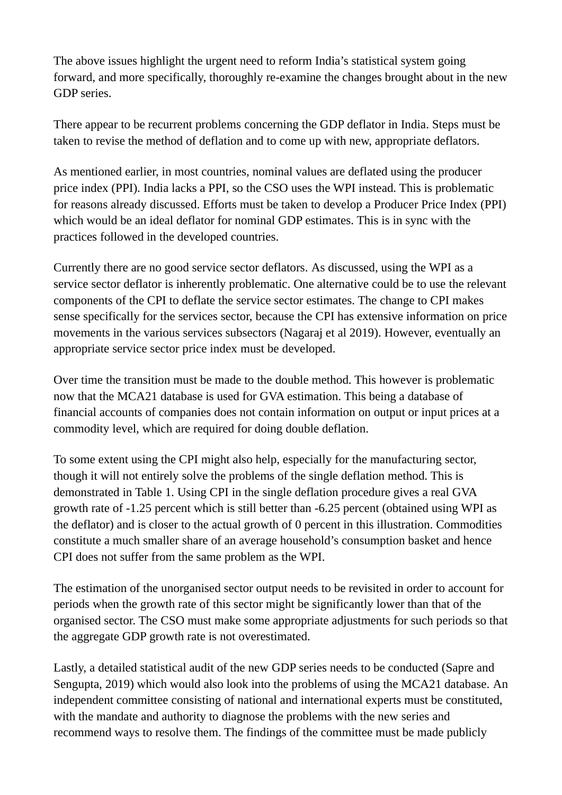The above issues highlight the urgent need to reform India's statistical system going forward, and more specifically, thoroughly re-examine the changes brought about in the new GDP series.

There appear to be recurrent problems concerning the GDP deflator in India. Steps must be taken to revise the method of deflation and to come up with new, appropriate deflators.

As mentioned earlier, in most countries, nominal values are deflated using the producer price index (PPI). India lacks a PPI, so the CSO uses the WPI instead. This is problematic for reasons already discussed. Efforts must be taken to develop a Producer Price Index (PPI) which would be an ideal deflator for nominal GDP estimates. This is in sync with the practices followed in the developed countries.

Currently there are no good service sector deflators. As discussed, using the WPI as a service sector deflator is inherently problematic. One alternative could be to use the relevant components of the CPI to deflate the service sector estimates. The change to CPI makes sense specifically for the services sector, because the CPI has extensive information on price movements in the various services subsectors (Nagaraj et al 2019). However, eventually an appropriate service sector price index must be developed.

Over time the transition must be made to the double method. This however is problematic now that the MCA21 database is used for GVA estimation. This being a database of financial accounts of companies does not contain information on output or input prices at a commodity level, which are required for doing double deflation.

To some extent using the CPI might also help, especially for the manufacturing sector, though it will not entirely solve the problems of the single deflation method. This is demonstrated in Table 1. Using CPI in the single deflation procedure gives a real GVA growth rate of -1.25 percent which is still better than -6.25 percent (obtained using WPI as the deflator) and is closer to the actual growth of 0 percent in this illustration. Commodities constitute a much smaller share of an average household's consumption basket and hence CPI does not suffer from the same problem as the WPI.

The estimation of the unorganised sector output needs to be revisited in order to account for periods when the growth rate of this sector might be significantly lower than that of the organised sector. The CSO must make some appropriate adjustments for such periods so that the aggregate GDP growth rate is not overestimated.

Lastly, a detailed statistical audit of the new GDP series needs to be conducted (Sapre and Sengupta, 2019) which would also look into the problems of using the MCA21 database. An independent committee consisting of national and international experts must be constituted, with the mandate and authority to diagnose the problems with the new series and recommend ways to resolve them. The findings of the committee must be made publicly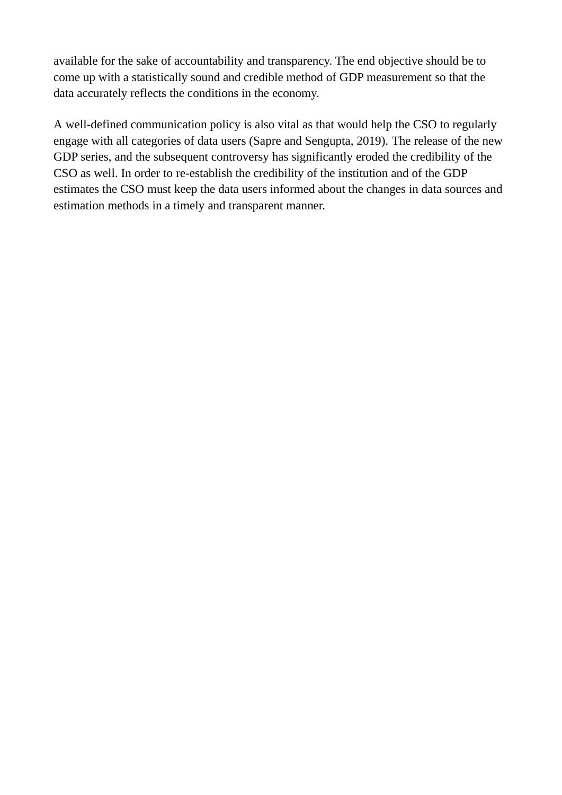available for the sake of accountability and transparency. The end objective should be to come up with a statistically sound and credible method of GDP measurement so that the data accurately reflects the conditions in the economy.

A well-defined communication policy is also vital as that would help the CSO to regularly engage with all categories of data users (Sapre and Sengupta, 2019). The release of the new GDP series, and the subsequent controversy has significantly eroded the credibility of the CSO as well. In order to re-establish the credibility of the institution and of the GDP estimates the CSO must keep the data users informed about the changes in data sources and estimation methods in a timely and transparent manner.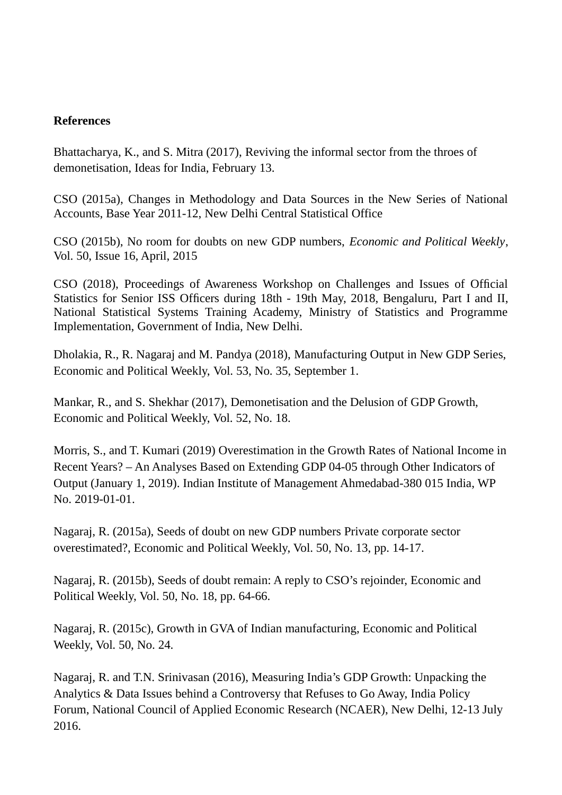#### **References**

Bhattacharya, K., and S. Mitra (2017), Reviving the informal sector from the throes of demonetisation, Ideas for India, February 13.

CSO (2015a), Changes in Methodology and Data Sources in the New Series of National Accounts, Base Year 2011-12, New Delhi Central Statistical Office

CSO (2015b), No room for doubts on new GDP numbers, *Economic and Political Weekly*, Vol. 50, Issue 16, April, 2015

CSO (2018), Proceedings of Awareness Workshop on Challenges and Issues of Official Statistics for Senior ISS Officers during 18th - 19th May, 2018, Bengaluru, Part I and II, National Statistical Systems Training Academy, Ministry of Statistics and Programme Implementation, Government of India, New Delhi.

Dholakia, R., R. Nagaraj and M. Pandya (2018), Manufacturing Output in New GDP Series, Economic and Political Weekly, Vol. 53, No. 35, September 1.

Mankar, R., and S. Shekhar (2017), Demonetisation and the Delusion of GDP Growth, Economic and Political Weekly, Vol. 52, No. 18.

Morris, S., and T. Kumari (2019) Overestimation in the Growth Rates of National Income in Recent Years? – An Analyses Based on Extending GDP 04-05 through Other Indicators of Output (January 1, 2019). Indian Institute of Management Ahmedabad-380 015 India, WP No. 2019-01-01.

Nagaraj, R. (2015a), Seeds of doubt on new GDP numbers Private corporate sector overestimated?, Economic and Political Weekly, Vol. 50, No. 13, pp. 14-17.

Nagaraj, R. (2015b), Seeds of doubt remain: A reply to CSO's rejoinder, Economic and Political Weekly, Vol. 50, No. 18, pp. 64-66.

Nagaraj, R. (2015c), Growth in GVA of Indian manufacturing, Economic and Political Weekly, Vol. 50, No. 24.

Nagaraj, R. and T.N. Srinivasan (2016), Measuring India's GDP Growth: Unpacking the Analytics & Data Issues behind a Controversy that Refuses to Go Away, India Policy Forum, National Council of Applied Economic Research (NCAER), New Delhi, 12-13 July 2016.